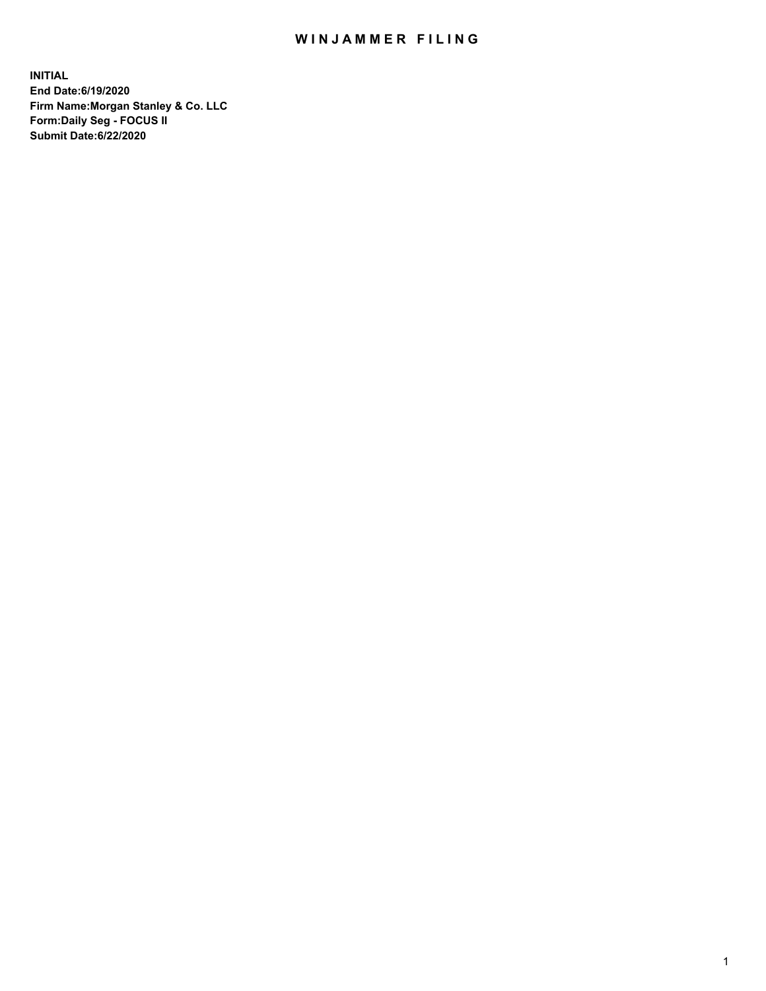## WIN JAMMER FILING

**INITIAL End Date:6/19/2020 Firm Name:Morgan Stanley & Co. LLC Form:Daily Seg - FOCUS II Submit Date:6/22/2020**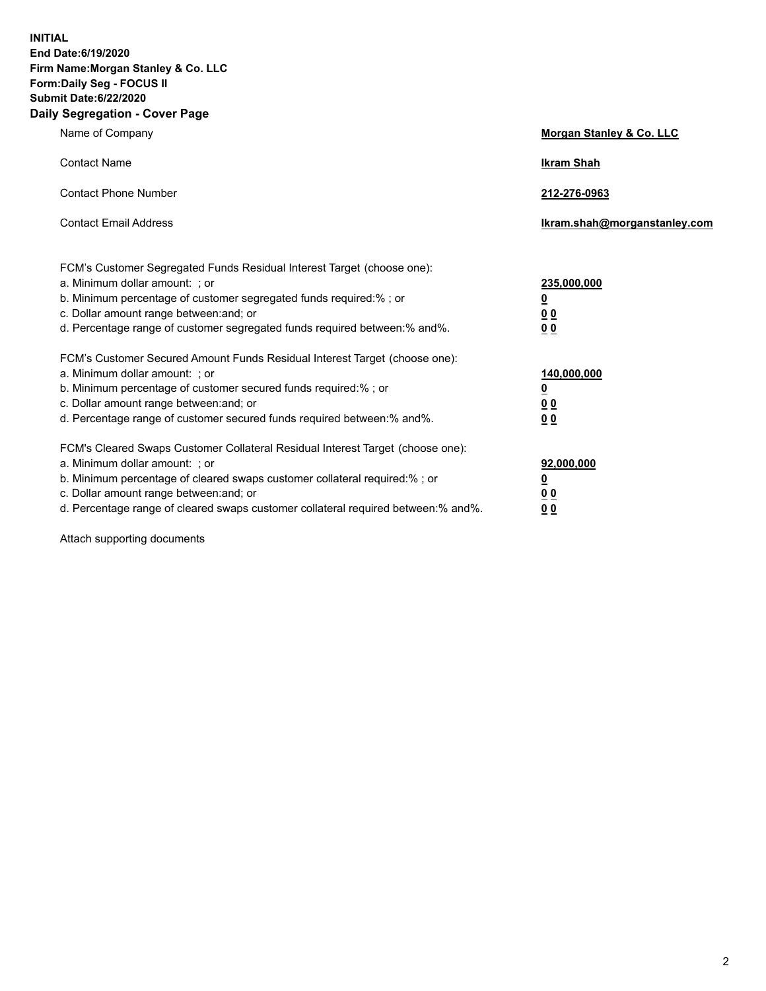**INITIAL End Date:6/19/2020 Firm Name:Morgan Stanley & Co. LLC Form:Daily Seg - FOCUS II Submit Date:6/22/2020 Daily Segregation - Cover Page**

| Name of Company                                                                                                                                                                                                                                                                                                                | Morgan Stanley & Co. LLC                                |
|--------------------------------------------------------------------------------------------------------------------------------------------------------------------------------------------------------------------------------------------------------------------------------------------------------------------------------|---------------------------------------------------------|
| <b>Contact Name</b>                                                                                                                                                                                                                                                                                                            | <b>Ikram Shah</b>                                       |
| <b>Contact Phone Number</b>                                                                                                                                                                                                                                                                                                    | 212-276-0963                                            |
| <b>Contact Email Address</b>                                                                                                                                                                                                                                                                                                   | Ikram.shah@morganstanley.com                            |
| FCM's Customer Segregated Funds Residual Interest Target (choose one):<br>a. Minimum dollar amount: ; or<br>b. Minimum percentage of customer segregated funds required:% ; or<br>c. Dollar amount range between: and; or<br>d. Percentage range of customer segregated funds required between:% and%.                         | 235,000,000<br><u>0</u><br><u>00</u><br><u>00</u>       |
| FCM's Customer Secured Amount Funds Residual Interest Target (choose one):<br>a. Minimum dollar amount: ; or<br>b. Minimum percentage of customer secured funds required:%; or<br>c. Dollar amount range between: and; or<br>d. Percentage range of customer secured funds required between:% and%.                            | 140,000,000<br><u>0</u><br><u>0 0</u><br>0 <sub>0</sub> |
| FCM's Cleared Swaps Customer Collateral Residual Interest Target (choose one):<br>a. Minimum dollar amount: ; or<br>b. Minimum percentage of cleared swaps customer collateral required:% ; or<br>c. Dollar amount range between: and; or<br>d. Percentage range of cleared swaps customer collateral required between:% and%. | 92,000,000<br><u>0</u><br><u>00</u><br>00               |

Attach supporting documents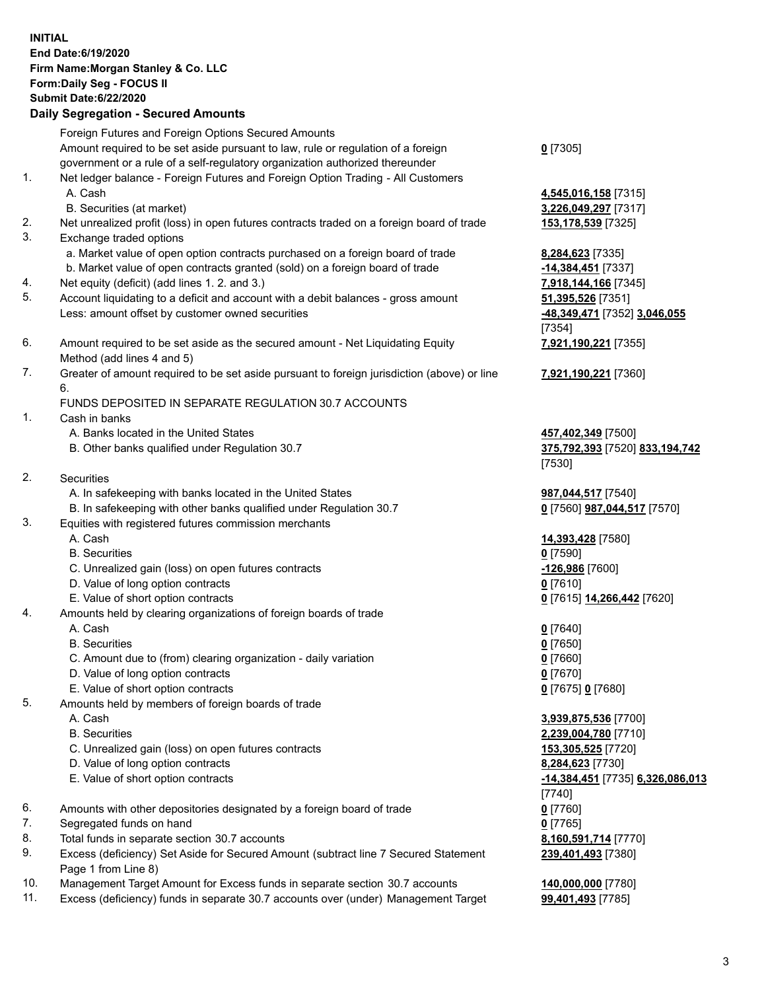## **INITIAL End Date:6/19/2020 Firm Name:Morgan Stanley & Co. LLC Form:Daily Seg - FOCUS II Submit Date:6/22/2020 Daily Segregation - Secured Amounts** Foreign Futures and Foreign Options Secured Amounts Amount required to be set aside pursuant to law, rule or regulation of a foreign government or a rule of a self-regulatory organization authorized thereunder **0** [7305] 1. Net ledger balance - Foreign Futures and Foreign Option Trading - All Customers A. Cash **4,545,016,158** [7315] B. Securities (at market) **3,226,049,297** [7317] 2. Net unrealized profit (loss) in open futures contracts traded on a foreign board of trade **153,178,539** [7325] 3. Exchange traded options a. Market value of open option contracts purchased on a foreign board of trade **8,284,623** [7335] b. Market value of open contracts granted (sold) on a foreign board of trade **-14,384,451** [7337] 4. Net equity (deficit) (add lines 1. 2. and 3.) **7,918,144,166** [7345] 5. Account liquidating to a deficit and account with a debit balances - gross amount **51,395,526** [7351] Less: amount offset by customer owned securities **-48,349,471** [7352] **3,046,055** [7354] 6. Amount required to be set aside as the secured amount - Net Liquidating Equity Method (add lines 4 and 5) **7,921,190,221** [7355] 7. Greater of amount required to be set aside pursuant to foreign jurisdiction (above) or line 6. **7,921,190,221** [7360] FUNDS DEPOSITED IN SEPARATE REGULATION 30.7 ACCOUNTS 1. Cash in banks A. Banks located in the United States **457,402,349** [7500] B. Other banks qualified under Regulation 30.7 **375,792,393** [7520] **833,194,742** [7530] 2. Securities A. In safekeeping with banks located in the United States **987,044,517** [7540] B. In safekeeping with other banks qualified under Regulation 30.7 **0** [7560] **987,044,517** [7570] 3. Equities with registered futures commission merchants A. Cash **14,393,428** [7580] B. Securities **0** [7590] C. Unrealized gain (loss) on open futures contracts **-126,986** [7600] D. Value of long option contracts **0** [7610] E. Value of short option contracts **0** [7615] **14,266,442** [7620] 4. Amounts held by clearing organizations of foreign boards of trade A. Cash **0** [7640] B. Securities **0** [7650] C. Amount due to (from) clearing organization - daily variation **0** [7660] D. Value of long option contracts **0** [7670] E. Value of short option contracts **0** [7675] **0** [7680] 5. Amounts held by members of foreign boards of trade A. Cash **3,939,875,536** [7700] B. Securities **2,239,004,780** [7710] C. Unrealized gain (loss) on open futures contracts **153,305,525** [7720] D. Value of long option contracts **8,284,623** [7730] E. Value of short option contracts **-14,384,451** [7735] **6,326,086,013** [7740] 6. Amounts with other depositories designated by a foreign board of trade **0** [7760] 7. Segregated funds on hand **0** [7765]

- 8. Total funds in separate section 30.7 accounts **8,160,591,714** [7770]
- 9. Excess (deficiency) Set Aside for Secured Amount (subtract line 7 Secured Statement Page 1 from Line 8)
- 10. Management Target Amount for Excess funds in separate section 30.7 accounts **140,000,000** [7780]
- 11. Excess (deficiency) funds in separate 30.7 accounts over (under) Management Target 99,401,493 [7785]

**239,401,493** [7380]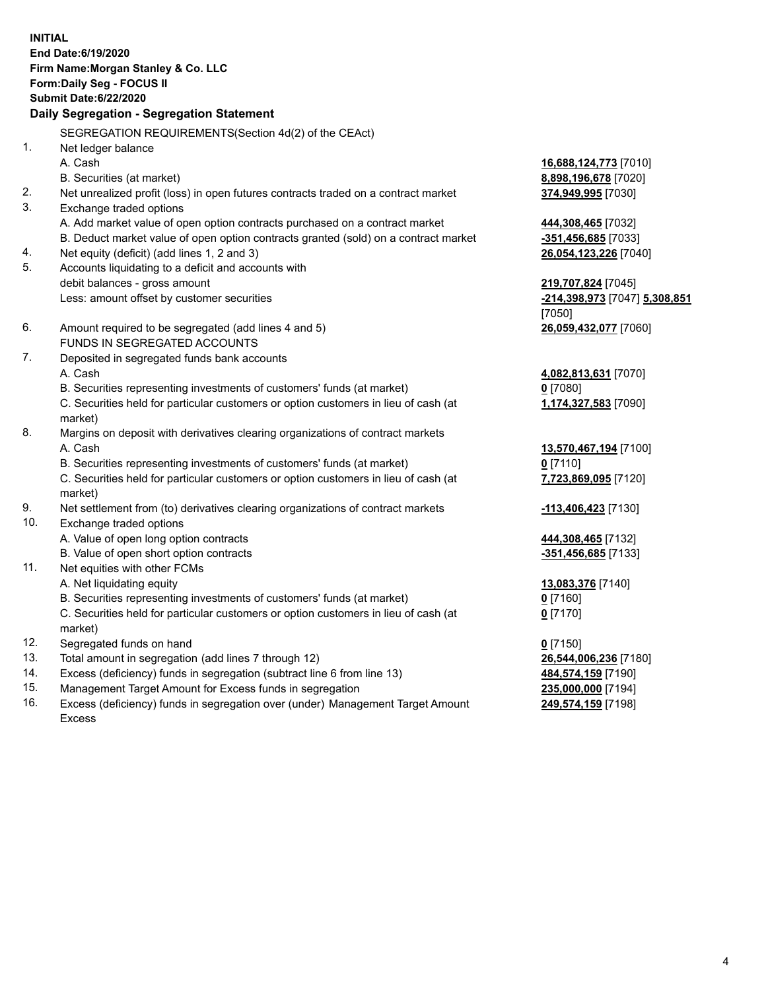**INITIAL End Date:6/19/2020 Firm Name:Morgan Stanley & Co. LLC Form:Daily Seg - FOCUS II Submit Date:6/22/2020 Daily Segregation - Segregation Statement** SEGREGATION REQUIREMENTS(Section 4d(2) of the CEAct) 1. Net ledger balance A. Cash **16,688,124,773** [7010] B. Securities (at market) **8,898,196,678** [7020] 2. Net unrealized profit (loss) in open futures contracts traded on a contract market **374,949,995** [7030] 3. Exchange traded options A. Add market value of open option contracts purchased on a contract market **444,308,465** [7032] B. Deduct market value of open option contracts granted (sold) on a contract market **-351,456,685** [7033] 4. Net equity (deficit) (add lines 1, 2 and 3) **26,054,123,226** [7040] 5. Accounts liquidating to a deficit and accounts with debit balances - gross amount **219,707,824** [7045] Less: amount offset by customer securities **-214,398,973** [7047] **5,308,851** [7050] 6. Amount required to be segregated (add lines 4 and 5) **26,059,432,077** [7060] FUNDS IN SEGREGATED ACCOUNTS 7. Deposited in segregated funds bank accounts A. Cash **4,082,813,631** [7070] B. Securities representing investments of customers' funds (at market) **0** [7080] C. Securities held for particular customers or option customers in lieu of cash (at market) **1,174,327,583** [7090] 8. Margins on deposit with derivatives clearing organizations of contract markets A. Cash **13,570,467,194** [7100] B. Securities representing investments of customers' funds (at market) **0** [7110] C. Securities held for particular customers or option customers in lieu of cash (at market) **7,723,869,095** [7120] 9. Net settlement from (to) derivatives clearing organizations of contract markets **-113,406,423** [7130] 10. Exchange traded options A. Value of open long option contracts **444,308,465** [7132] B. Value of open short option contracts **-351,456,685** [7133] 11. Net equities with other FCMs A. Net liquidating equity **13,083,376** [7140] B. Securities representing investments of customers' funds (at market) **0** [7160] C. Securities held for particular customers or option customers in lieu of cash (at market) **0** [7170] 12. Segregated funds on hand **0** [7150] 13. Total amount in segregation (add lines 7 through 12) **26,544,006,236** [7180] 14. Excess (deficiency) funds in segregation (subtract line 6 from line 13) **484,574,159** [7190] 15. Management Target Amount for Excess funds in segregation **235,000,000** [7194]

16. Excess (deficiency) funds in segregation over (under) Management Target Amount Excess

**249,574,159** [7198]